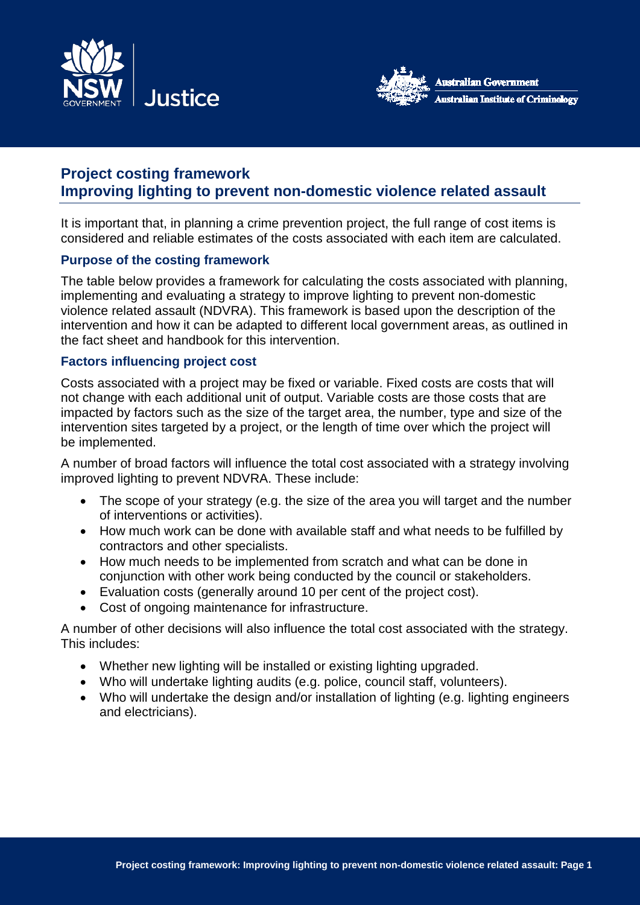



# **Project costing framework Improving lighting to prevent non-domestic violence related assault**

It is important that, in planning a crime prevention project, the full range of cost items is considered and reliable estimates of the costs associated with each item are calculated.

### **Purpose of the costing framework**

The table below provides a framework for calculating the costs associated with planning, implementing and evaluating a strategy to improve lighting to prevent non-domestic violence related assault (NDVRA). This framework is based upon the description of the intervention and how it can be adapted to different local government areas, as outlined in the fact sheet and handbook for this intervention.

### **Factors influencing project cost**

Costs associated with a project may be fixed or variable. Fixed costs are costs that will not change with each additional unit of output. Variable costs are those costs that are impacted by factors such as the size of the target area, the number, type and size of the intervention sites targeted by a project, or the length of time over which the project will be implemented.

A number of broad factors will influence the total cost associated with a strategy involving improved lighting to prevent NDVRA. These include:

- The scope of your strategy (e.g. the size of the area you will target and the number of interventions or activities).
- How much work can be done with available staff and what needs to be fulfilled by contractors and other specialists.
- How much needs to be implemented from scratch and what can be done in conjunction with other work being conducted by the council or stakeholders.
- Evaluation costs (generally around 10 per cent of the project cost).
- Cost of ongoing maintenance for infrastructure.

A number of other decisions will also influence the total cost associated with the strategy. This includes:

- Whether new lighting will be installed or existing lighting upgraded.
- Who will undertake lighting audits (e.g. police, council staff, volunteers).
- Who will undertake the design and/or installation of lighting (e.g. lighting engineers and electricians).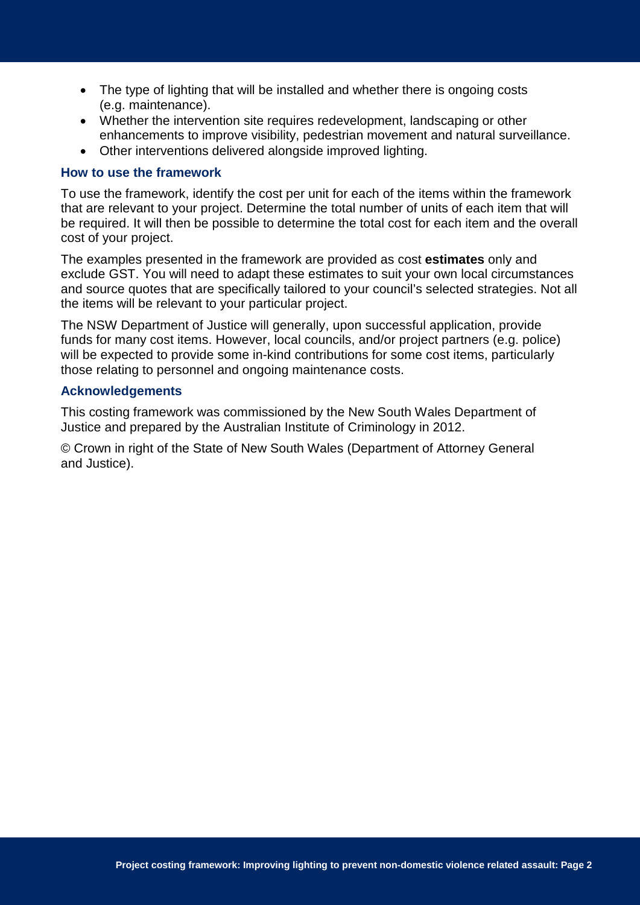- The type of lighting that will be installed and whether there is ongoing costs (e.g. maintenance).
- Whether the intervention site requires redevelopment, landscaping or other enhancements to improve visibility, pedestrian movement and natural surveillance.
- Other interventions delivered alongside improved lighting.

### **How to use the framework**

To use the framework, identify the cost per unit for each of the items within the framework that are relevant to your project. Determine the total number of units of each item that will be required. It will then be possible to determine the total cost for each item and the overall cost of your project.

The examples presented in the framework are provided as cost **estimates** only and exclude GST. You will need to adapt these estimates to suit your own local circumstances and source quotes that are specifically tailored to your council's selected strategies. Not all the items will be relevant to your particular project.

The NSW Department of Justice will generally, upon successful application, provide funds for many cost items. However, local councils, and/or project partners (e.g. police) will be expected to provide some in-kind contributions for some cost items, particularly those relating to personnel and ongoing maintenance costs.

### **Acknowledgements**

This costing framework was commissioned by the New South Wales Department of Justice and prepared by the Australian Institute of Criminology in 2012.

© Crown in right of the State of New South Wales (Department of Attorney General and Justice).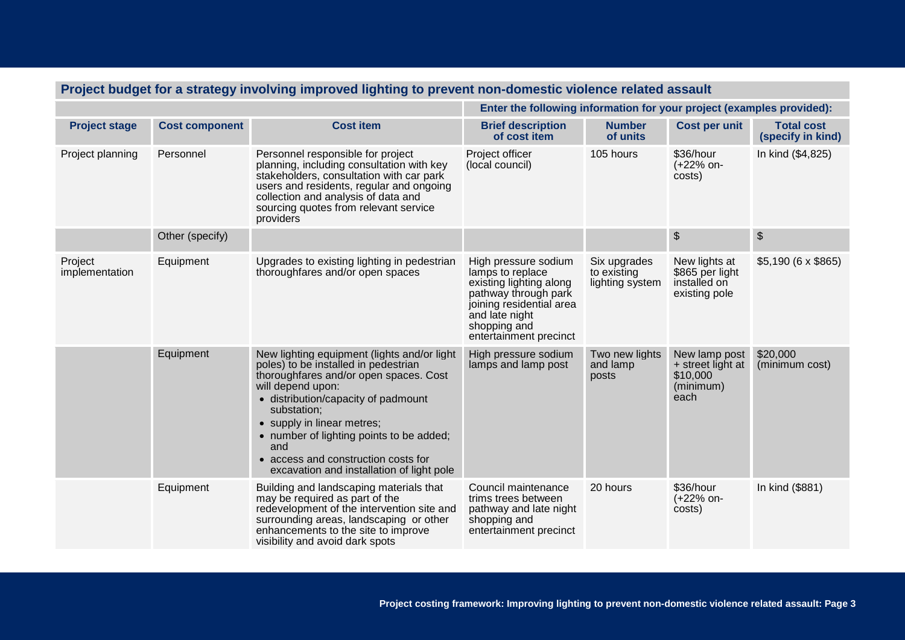| Project budget for a strategy involving improved lighting to prevent non-domestic violence related assault |                       |                                                                                                                                                                                                                                                                                                                                                                               |                                                                                                                                                                                     |                                                |                                                                     |                                        |  |
|------------------------------------------------------------------------------------------------------------|-----------------------|-------------------------------------------------------------------------------------------------------------------------------------------------------------------------------------------------------------------------------------------------------------------------------------------------------------------------------------------------------------------------------|-------------------------------------------------------------------------------------------------------------------------------------------------------------------------------------|------------------------------------------------|---------------------------------------------------------------------|----------------------------------------|--|
|                                                                                                            |                       |                                                                                                                                                                                                                                                                                                                                                                               | Enter the following information for your project (examples provided):                                                                                                               |                                                |                                                                     |                                        |  |
| <b>Project stage</b>                                                                                       | <b>Cost component</b> | <b>Cost item</b>                                                                                                                                                                                                                                                                                                                                                              | <b>Brief description</b><br>of cost item                                                                                                                                            | <b>Number</b><br>of units                      | Cost per unit                                                       | <b>Total cost</b><br>(specify in kind) |  |
| Project planning                                                                                           | Personnel             | Personnel responsible for project<br>planning, including consultation with key<br>stakeholders, consultation with car park<br>users and residents, regular and ongoing<br>collection and analysis of data and<br>sourcing quotes from relevant service<br>providers                                                                                                           | Project officer<br>(local council)                                                                                                                                                  | 105 hours                                      | \$36/hour<br>(+22% on-<br>costs)                                    | In kind (\$4,825)                      |  |
|                                                                                                            | Other (specify)       |                                                                                                                                                                                                                                                                                                                                                                               |                                                                                                                                                                                     |                                                | \$                                                                  | $\boldsymbol{\theta}$                  |  |
| Project<br>implementation                                                                                  | Equipment             | Upgrades to existing lighting in pedestrian<br>thoroughfares and/or open spaces                                                                                                                                                                                                                                                                                               | High pressure sodium<br>lamps to replace<br>existing lighting along<br>pathway through park<br>joining residential area<br>and late night<br>shopping and<br>entertainment precinct | Six upgrades<br>to existing<br>lighting system | New lights at<br>\$865 per light<br>installed on<br>existing pole   | $$5,190(6 \times $865)$                |  |
|                                                                                                            | Equipment             | New lighting equipment (lights and/or light<br>poles) to be installed in pedestrian<br>thoroughfares and/or open spaces. Cost<br>will depend upon:<br>• distribution/capacity of padmount<br>substation;<br>• supply in linear metres;<br>• number of lighting points to be added;<br>and<br>• access and construction costs for<br>excavation and installation of light pole | High pressure sodium<br>lamps and lamp post                                                                                                                                         | Two new lights<br>and lamp<br>posts            | New lamp post<br>+ street light at<br>\$10,000<br>(minimum)<br>each | \$20,000<br>(minimum cost)             |  |
|                                                                                                            | Equipment             | Building and landscaping materials that<br>may be required as part of the<br>redevelopment of the intervention site and<br>surrounding areas, landscaping or other<br>enhancements to the site to improve<br>visibility and avoid dark spots                                                                                                                                  | Council maintenance<br>trims trees between<br>pathway and late night<br>shopping and<br>entertainment precinct                                                                      | 20 hours                                       | \$36/hour<br>(+22% on-<br>costs)                                    | In kind (\$881)                        |  |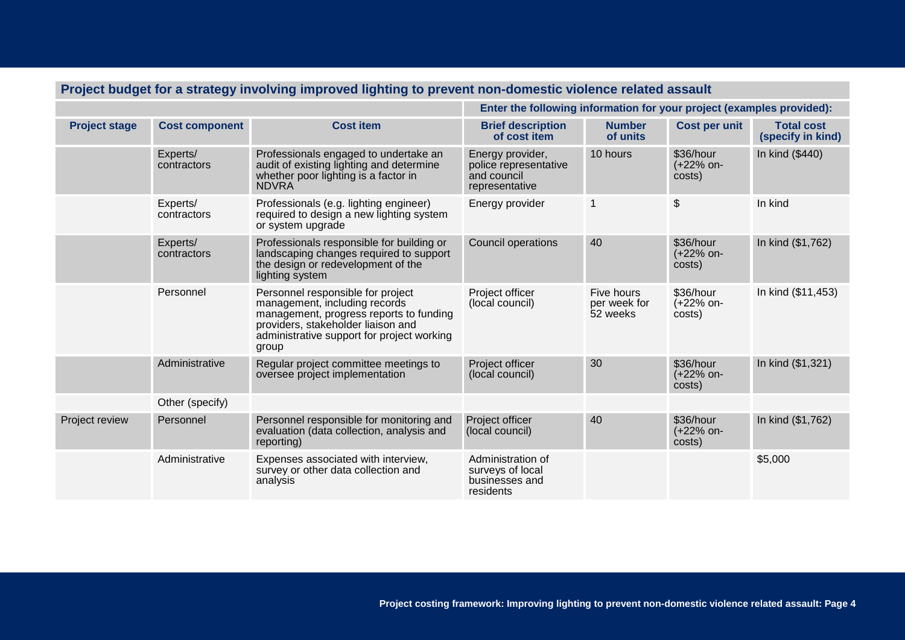| Project budget for a strategy involving improved iighting to prevent non-domestic violence related assault |                         |                                                                                                                                                                                                            |                                                                            |                                        |                                  |                                        |  |
|------------------------------------------------------------------------------------------------------------|-------------------------|------------------------------------------------------------------------------------------------------------------------------------------------------------------------------------------------------------|----------------------------------------------------------------------------|----------------------------------------|----------------------------------|----------------------------------------|--|
|                                                                                                            |                         |                                                                                                                                                                                                            | Enter the following information for your project (examples provided):      |                                        |                                  |                                        |  |
| <b>Project stage</b>                                                                                       | <b>Cost component</b>   | <b>Cost item</b>                                                                                                                                                                                           | <b>Brief description</b><br>of cost item                                   | <b>Number</b><br>of units              | Cost per unit                    | <b>Total cost</b><br>(specify in kind) |  |
|                                                                                                            | Experts/<br>contractors | Professionals engaged to undertake an<br>audit of existing lighting and determine<br>whether poor lighting is a factor in<br><b>NDVRA</b>                                                                  | Energy provider,<br>police representative<br>and council<br>representative | 10 hours                               | \$36/hour<br>(+22% on-<br>costs) | In kind (\$440)                        |  |
|                                                                                                            | Experts/<br>contractors | Professionals (e.g. lighting engineer)<br>required to design a new lighting system<br>or system upgrade                                                                                                    | Energy provider                                                            | $\mathbf 1$                            | $\boldsymbol{\mathsf{S}}$        | In kind                                |  |
|                                                                                                            | Experts/<br>contractors | Professionals responsible for building or<br>landscaping changes required to support<br>the design or redevelopment of the<br>lighting system                                                              | Council operations                                                         | 40                                     | \$36/hour<br>(+22% on-<br>costs) | In kind (\$1,762)                      |  |
|                                                                                                            | Personnel               | Personnel responsible for project<br>management, including records<br>management, progress reports to funding<br>providers, stakeholder liaison and<br>administrative support for project working<br>group | Project officer<br>(local council)                                         | Five hours<br>per week for<br>52 weeks | \$36/hour<br>(+22% on-<br>costs) | In kind (\$11,453)                     |  |
|                                                                                                            | Administrative          | Regular project committee meetings to<br>oversee project implementation                                                                                                                                    | Project officer<br>(local council)                                         | 30                                     | \$36/hour<br>(+22% on-<br>costs) | In kind (\$1,321)                      |  |
|                                                                                                            | Other (specify)         |                                                                                                                                                                                                            |                                                                            |                                        |                                  |                                        |  |
| Project review                                                                                             | Personnel               | Personnel responsible for monitoring and<br>evaluation (data collection, analysis and<br>reporting)                                                                                                        | Project officer<br>(local council)                                         | 40                                     | \$36/hour<br>(+22% on-<br>costs) | In kind (\$1,762)                      |  |
|                                                                                                            | Administrative          | Expenses associated with interview,<br>survey or other data collection and<br>analysis                                                                                                                     | Administration of<br>surveys of local<br>businesses and<br>residents       |                                        |                                  | \$5,000                                |  |

## **Project budget for a strategy involving improved lighting to prevent non-domestic violence related assault**